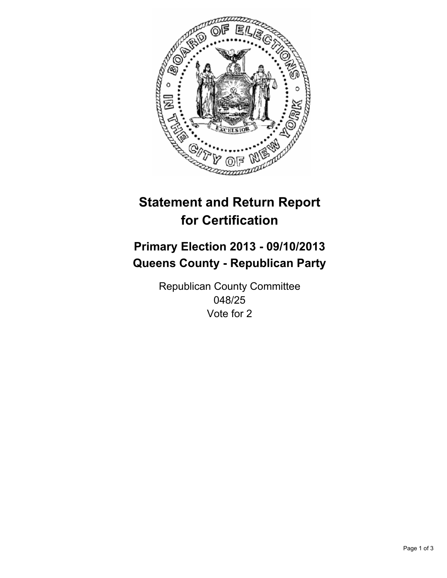

# **Statement and Return Report for Certification**

# **Primary Election 2013 - 09/10/2013 Queens County - Republican Party**

Republican County Committee 048/25 Vote for 2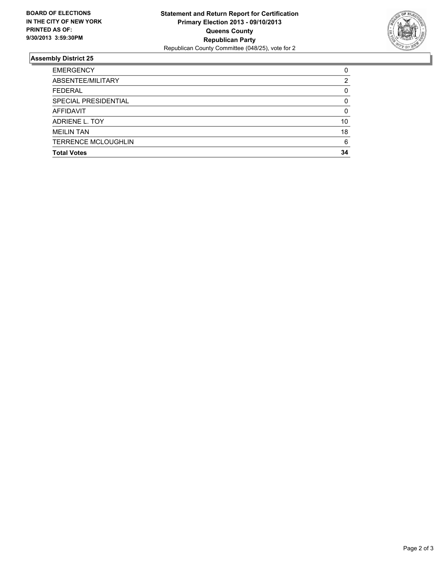

## **Assembly District 25**

| <b>EMERGENCY</b>           | 0  |
|----------------------------|----|
| ABSENTEE/MILITARY          | 2  |
| <b>FEDERAL</b>             | 0  |
| SPECIAL PRESIDENTIAL       | 0  |
| <b>AFFIDAVIT</b>           | 0  |
| ADRIENE L. TOY             | 10 |
| <b>MEILIN TAN</b>          | 18 |
| <b>TERRENCE MCLOUGHLIN</b> | 6  |
| <b>Total Votes</b>         | 34 |